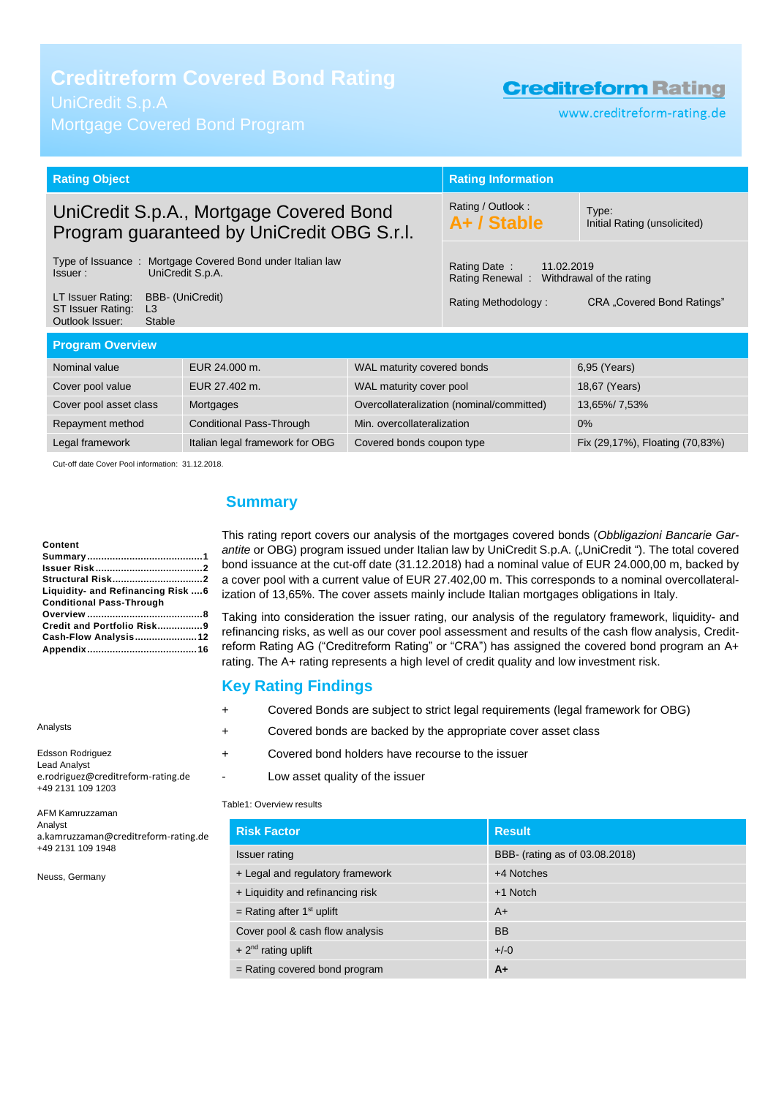**Creditreform Covered Bond Rating**

Mortgage Covered Bond Program

## **Creditreform Rating**

www.creditreform-rating.de

|                                                                                       | <b>Rating Information</b> |                                                                                                                                                                                                                                                             |  |
|---------------------------------------------------------------------------------------|---------------------------|-------------------------------------------------------------------------------------------------------------------------------------------------------------------------------------------------------------------------------------------------------------|--|
| UniCredit S.p.A., Mortgage Covered Bond<br>Program guaranteed by UniCredit OBG S.r.l. |                           | Type:<br>Initial Rating (unsolicited)                                                                                                                                                                                                                       |  |
|                                                                                       | Rating Date:              |                                                                                                                                                                                                                                                             |  |
|                                                                                       | Rating Methodology:       | CRA "Covered Bond Ratings"                                                                                                                                                                                                                                  |  |
| <b>Program Overview</b>                                                               |                           |                                                                                                                                                                                                                                                             |  |
|                                                                                       |                           | 6,95 (Years)                                                                                                                                                                                                                                                |  |
|                                                                                       |                           | 18,67 (Years)                                                                                                                                                                                                                                               |  |
|                                                                                       |                           | 13,65%/7,53%                                                                                                                                                                                                                                                |  |
|                                                                                       |                           | 0%                                                                                                                                                                                                                                                          |  |
|                                                                                       |                           | Fix (29,17%), Floating (70,83%)                                                                                                                                                                                                                             |  |
|                                                                                       |                           | Rating / Outlook:<br>A+ / Stable<br>11.02.2019<br>Rating Renewal: Withdrawal of the rating<br>WAL maturity covered bonds<br>WAL maturity cover pool<br>Overcollateralization (nominal/committed)<br>Min. overcollateralization<br>Covered bonds coupon type |  |

Cut-off date Cover Pool information: 31.12.2018.

#### **Content**

Analysts

| Content                            |
|------------------------------------|
|                                    |
|                                    |
|                                    |
| Liquidity- and Refinancing Risk  6 |
| <b>Conditional Pass-Through</b>    |
|                                    |
| Credit and Portfolio Risk9         |
| Cash-Flow Analysis12               |
|                                    |

Edsson Rodriguez Lead Analyst e.rodriguez@creditreform-rating.de +49 2131 109 1203 AFM Kamruzzaman

Analyst a.kamruzzaman@creditreform-rating.de +49 2131 109 1948

Neuss, Germany

## <span id="page-0-0"></span>**Summary**

This rating report covers our analysis of the mortgages covered bonds (*Obbligazioni Bancarie Gar*antite or OBG) program issued under Italian law by UniCredit S.p.A. ("UniCredit"). The total covered bond issuance at the cut-off date (31.12.2018) had a nominal value of EUR 24.000,00 m, backed by a cover pool with a current value of EUR 27.402,00 m. This corresponds to a nominal overcollateralization of 13,65%. The cover assets mainly include Italian mortgages obligations in Italy.

Taking into consideration the issuer rating, our analysis of the regulatory framework, liquidity- and refinancing risks, as well as our cover pool assessment and results of the cash flow analysis, Creditreform Rating AG ("Creditreform Rating" or "CRA") has assigned the covered bond program an A+ rating. The A+ rating represents a high level of credit quality and low investment risk.

### **Key Rating Findings**

- + Covered Bonds are subject to strict legal requirements (legal framework for OBG)
- + Covered bonds are backed by the appropriate cover asset class
- + Covered bond holders have recourse to the issuer
	- Low asset quality of the issuer

Table1: Overview results

| <b>Risk Factor</b>               | <b>Result</b>                  |
|----------------------------------|--------------------------------|
| <b>Issuer rating</b>             | BBB- (rating as of 03.08.2018) |
| + Legal and regulatory framework | +4 Notches                     |
| + Liquidity and refinancing risk | $+1$ Notch                     |
| = Rating after $1st$ uplift      | $A+$                           |
| Cover pool & cash flow analysis  | <b>BB</b>                      |
| $+2^{nd}$ rating uplift          | $+/-0$                         |
| $=$ Rating covered bond program  | $A+$                           |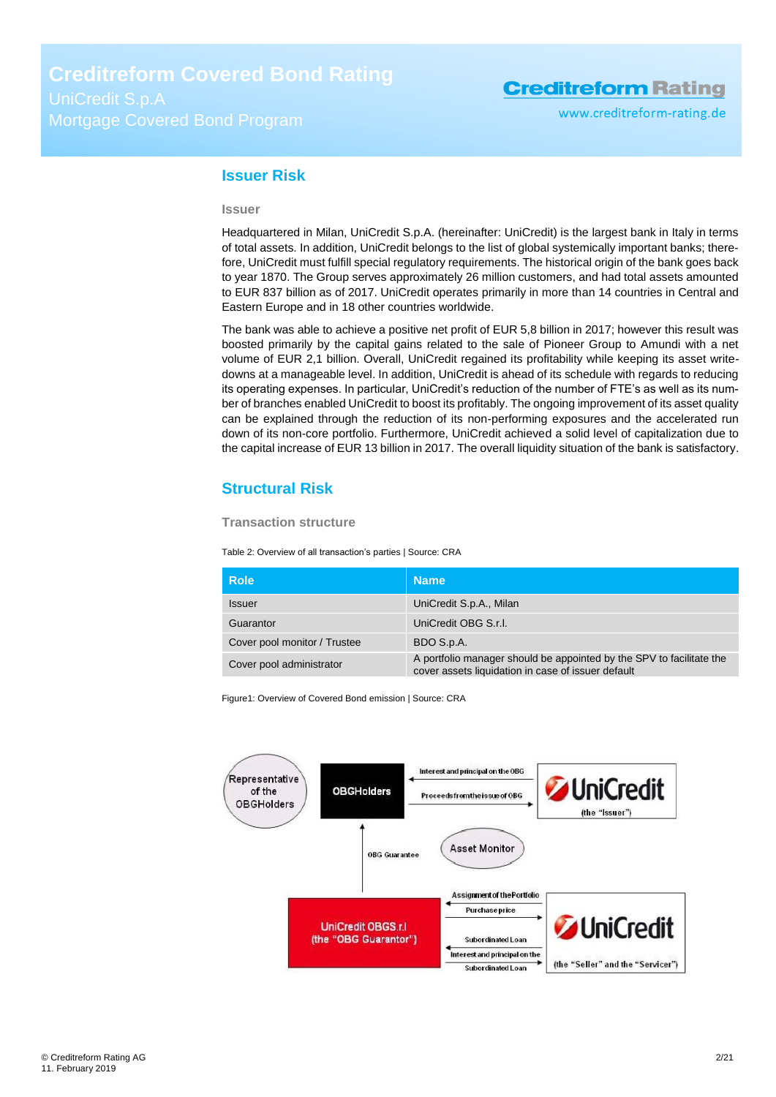#### <span id="page-1-0"></span>**Issuer Risk**

#### **Issuer**

Headquartered in Milan, UniCredit S.p.A. (hereinafter: UniCredit) is the largest bank in Italy in terms of total assets. In addition, UniCredit belongs to the list of global systemically important banks; therefore, UniCredit must fulfill special regulatory requirements. The historical origin of the bank goes back to year 1870. The Group serves approximately 26 million customers, and had total assets amounted to EUR 837 billion as of 2017. UniCredit operates primarily in more than 14 countries in Central and Eastern Europe and in 18 other countries worldwide.

The bank was able to achieve a positive net profit of EUR 5,8 billion in 2017; however this result was boosted primarily by the capital gains related to the sale of Pioneer Group to Amundi with a net volume of EUR 2,1 billion. Overall, UniCredit regained its profitability while keeping its asset writedowns at a manageable level. In addition, UniCredit is ahead of its schedule with regards to reducing its operating expenses. In particular, UniCredit's reduction of the number of FTE's as well as its number of branches enabled UniCredit to boost its profitably. The ongoing improvement of its asset quality can be explained through the reduction of its non-performing exposures and the accelerated run down of its non-core portfolio. Furthermore, UniCredit achieved a solid level of capitalization due to the capital increase of EUR 13 billion in 2017. The overall liquidity situation of the bank is satisfactory.

## <span id="page-1-1"></span>**Structural Risk**

**Transaction structure**

Table 2: Overview of all transaction's parties | Source: CRA

| <b>Role</b>                  | <b>Name</b>                                                                                                                |
|------------------------------|----------------------------------------------------------------------------------------------------------------------------|
| <b>Issuer</b>                | UniCredit S.p.A., Milan                                                                                                    |
| Guarantor                    | UniCredit OBG S.r.I.                                                                                                       |
| Cover pool monitor / Trustee | BDO S.p.A.                                                                                                                 |
| Cover pool administrator     | A portfolio manager should be appointed by the SPV to facilitate the<br>cover assets liquidation in case of issuer default |

Figure1: Overview of Covered Bond emission | Source: CRA

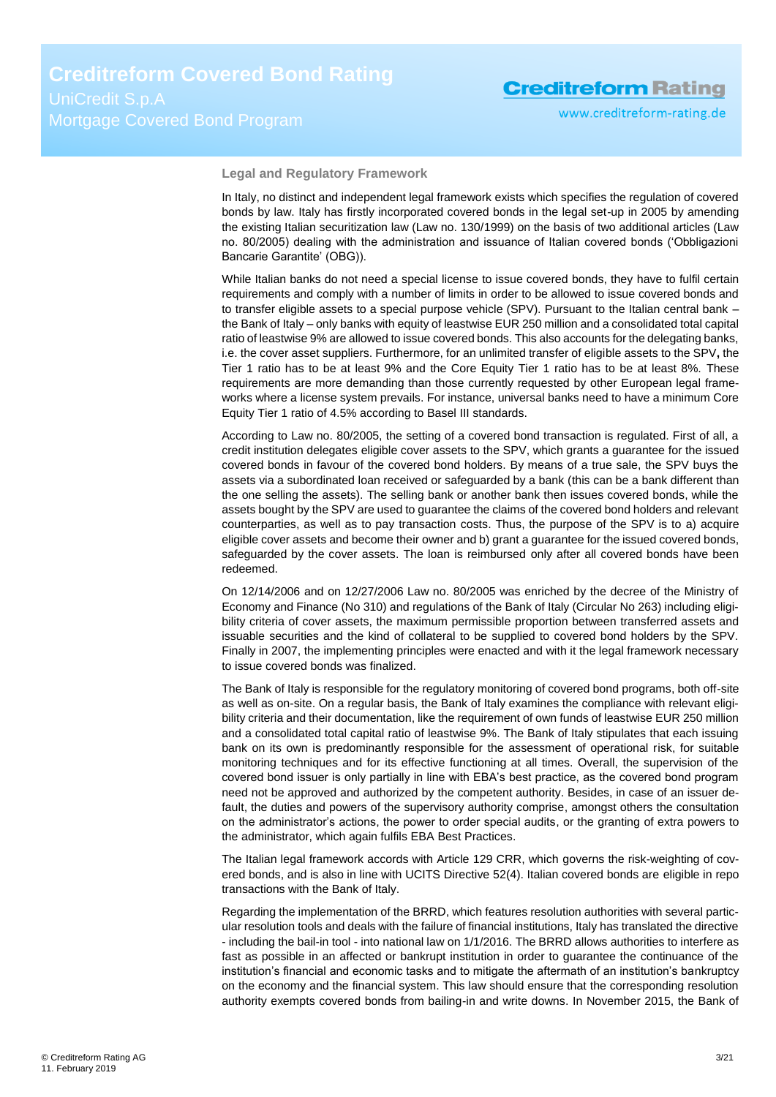**Legal and Regulatory Framework**

In Italy, no distinct and independent legal framework exists which specifies the regulation of covered bonds by law. Italy has firstly incorporated covered bonds in the legal set-up in 2005 by amending the existing Italian securitization law (Law no. 130/1999) on the basis of two additional articles (Law no. 80/2005) dealing with the administration and issuance of Italian covered bonds ('Obbligazioni Bancarie Garantite' (OBG)).

While Italian banks do not need a special license to issue covered bonds, they have to fulfil certain requirements and comply with a number of limits in order to be allowed to issue covered bonds and to transfer eligible assets to a special purpose vehicle (SPV). Pursuant to the Italian central bank – the Bank of Italy – only banks with equity of leastwise EUR 250 million and a consolidated total capital ratio of leastwise 9% are allowed to issue covered bonds. This also accounts for the delegating banks, i.e. the cover asset suppliers. Furthermore, for an unlimited transfer of eligible assets to the SPV**,** the Tier 1 ratio has to be at least 9% and the Core Equity Tier 1 ratio has to be at least 8%. These requirements are more demanding than those currently requested by other European legal frameworks where a license system prevails. For instance, universal banks need to have a minimum Core Equity Tier 1 ratio of 4.5% according to Basel III standards.

According to Law no. 80/2005, the setting of a covered bond transaction is regulated. First of all, a credit institution delegates eligible cover assets to the SPV, which grants a guarantee for the issued covered bonds in favour of the covered bond holders. By means of a true sale, the SPV buys the assets via a subordinated loan received or safeguarded by a bank (this can be a bank different than the one selling the assets). The selling bank or another bank then issues covered bonds, while the assets bought by the SPV are used to guarantee the claims of the covered bond holders and relevant counterparties, as well as to pay transaction costs. Thus, the purpose of the SPV is to a) acquire eligible cover assets and become their owner and b) grant a guarantee for the issued covered bonds, safeguarded by the cover assets. The loan is reimbursed only after all covered bonds have been redeemed.

On 12/14/2006 and on 12/27/2006 Law no. 80/2005 was enriched by the decree of the Ministry of Economy and Finance (No 310) and regulations of the Bank of Italy (Circular No 263) including eligibility criteria of cover assets, the maximum permissible proportion between transferred assets and issuable securities and the kind of collateral to be supplied to covered bond holders by the SPV. Finally in 2007, the implementing principles were enacted and with it the legal framework necessary to issue covered bonds was finalized.

The Bank of Italy is responsible for the regulatory monitoring of covered bond programs, both off-site as well as on-site. On a regular basis, the Bank of Italy examines the compliance with relevant eligibility criteria and their documentation, like the requirement of own funds of leastwise EUR 250 million and a consolidated total capital ratio of leastwise 9%. The Bank of Italy stipulates that each issuing bank on its own is predominantly responsible for the assessment of operational risk, for suitable monitoring techniques and for its effective functioning at all times. Overall, the supervision of the covered bond issuer is only partially in line with EBA's best practice, as the covered bond program need not be approved and authorized by the competent authority. Besides, in case of an issuer default, the duties and powers of the supervisory authority comprise, amongst others the consultation on the administrator's actions, the power to order special audits, or the granting of extra powers to the administrator, which again fulfils EBA Best Practices.

The Italian legal framework accords with Article 129 CRR, which governs the risk-weighting of covered bonds, and is also in line with UCITS Directive 52(4). Italian covered bonds are eligible in repo transactions with the Bank of Italy.

Regarding the implementation of the BRRD, which features resolution authorities with several particular resolution tools and deals with the failure of financial institutions, Italy has translated the directive - including the bail-in tool - into national law on 1/1/2016. The BRRD allows authorities to interfere as fast as possible in an affected or bankrupt institution in order to guarantee the continuance of the institution's financial and economic tasks and to mitigate the aftermath of an institution's bankruptcy on the economy and the financial system. This law should ensure that the corresponding resolution authority exempts covered bonds from bailing-in and write downs. In November 2015, the Bank of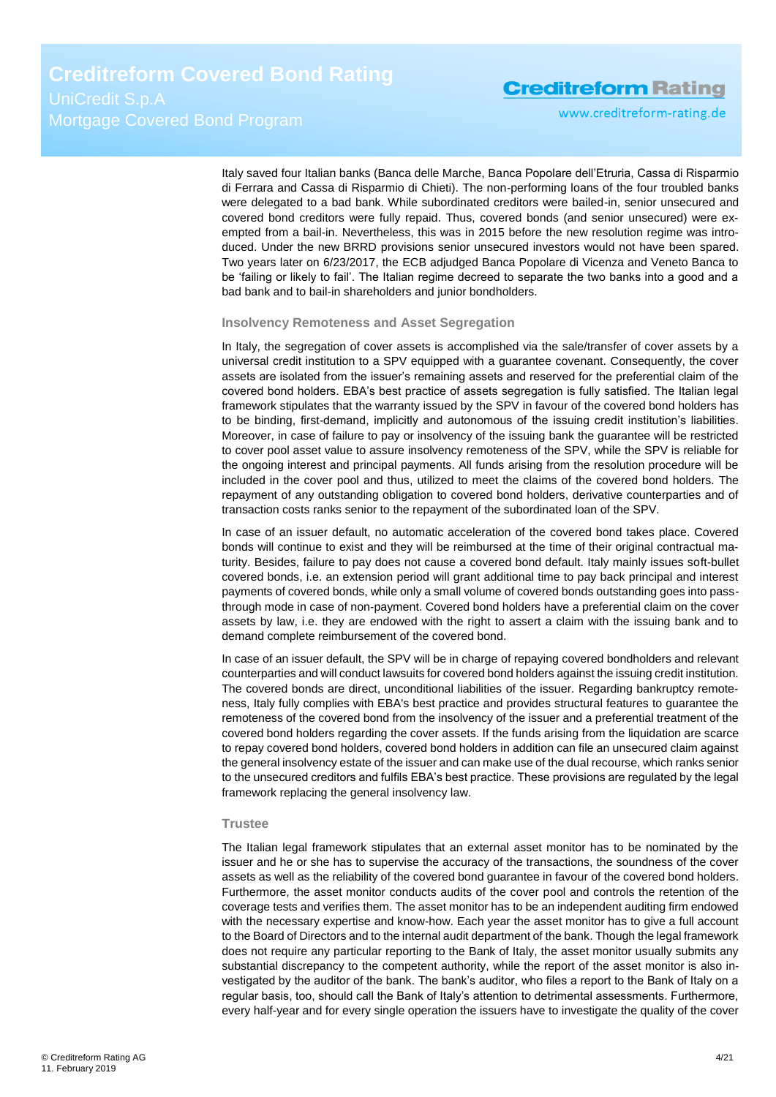www.creditreform-rating.de

Italy saved four Italian banks (Banca delle Marche, Banca Popolare dell'Etruria, Cassa di Risparmio di Ferrara and Cassa di Risparmio di Chieti). The non-performing loans of the four troubled banks were delegated to a bad bank. While subordinated creditors were bailed-in, senior unsecured and covered bond creditors were fully repaid. Thus, covered bonds (and senior unsecured) were exempted from a bail-in. Nevertheless, this was in 2015 before the new resolution regime was introduced. Under the new BRRD provisions senior unsecured investors would not have been spared. Two years later on 6/23/2017, the ECB adjudged Banca Popolare di Vicenza and Veneto Banca to be 'failing or likely to fail'. The Italian regime decreed to separate the two banks into a good and a bad bank and to bail-in shareholders and junior bondholders.

#### **Insolvency Remoteness and Asset Segregation**

In Italy, the segregation of cover assets is accomplished via the sale/transfer of cover assets by a universal credit institution to a SPV equipped with a guarantee covenant. Consequently, the cover assets are isolated from the issuer's remaining assets and reserved for the preferential claim of the covered bond holders. EBA's best practice of assets segregation is fully satisfied. The Italian legal framework stipulates that the warranty issued by the SPV in favour of the covered bond holders has to be binding, first-demand, implicitly and autonomous of the issuing credit institution's liabilities. Moreover, in case of failure to pay or insolvency of the issuing bank the guarantee will be restricted to cover pool asset value to assure insolvency remoteness of the SPV, while the SPV is reliable for the ongoing interest and principal payments. All funds arising from the resolution procedure will be included in the cover pool and thus, utilized to meet the claims of the covered bond holders. The repayment of any outstanding obligation to covered bond holders, derivative counterparties and of transaction costs ranks senior to the repayment of the subordinated loan of the SPV.

In case of an issuer default, no automatic acceleration of the covered bond takes place. Covered bonds will continue to exist and they will be reimbursed at the time of their original contractual maturity. Besides, failure to pay does not cause a covered bond default. Italy mainly issues soft-bullet covered bonds, i.e. an extension period will grant additional time to pay back principal and interest payments of covered bonds, while only a small volume of covered bonds outstanding goes into passthrough mode in case of non-payment. Covered bond holders have a preferential claim on the cover assets by law, i.e. they are endowed with the right to assert a claim with the issuing bank and to demand complete reimbursement of the covered bond.

In case of an issuer default, the SPV will be in charge of repaying covered bondholders and relevant counterparties and will conduct lawsuits for covered bond holders against the issuing credit institution. The covered bonds are direct, unconditional liabilities of the issuer. Regarding bankruptcy remoteness, Italy fully complies with EBA's best practice and provides structural features to guarantee the remoteness of the covered bond from the insolvency of the issuer and a preferential treatment of the covered bond holders regarding the cover assets. If the funds arising from the liquidation are scarce to repay covered bond holders, covered bond holders in addition can file an unsecured claim against the general insolvency estate of the issuer and can make use of the dual recourse, which ranks senior to the unsecured creditors and fulfils EBA's best practice. These provisions are regulated by the legal framework replacing the general insolvency law.

#### **Trustee**

The Italian legal framework stipulates that an external asset monitor has to be nominated by the issuer and he or she has to supervise the accuracy of the transactions, the soundness of the cover assets as well as the reliability of the covered bond guarantee in favour of the covered bond holders. Furthermore, the asset monitor conducts audits of the cover pool and controls the retention of the coverage tests and verifies them. The asset monitor has to be an independent auditing firm endowed with the necessary expertise and know-how. Each year the asset monitor has to give a full account to the Board of Directors and to the internal audit department of the bank. Though the legal framework does not require any particular reporting to the Bank of Italy, the asset monitor usually submits any substantial discrepancy to the competent authority, while the report of the asset monitor is also investigated by the auditor of the bank. The bank's auditor, who files a report to the Bank of Italy on a regular basis, too, should call the Bank of Italy's attention to detrimental assessments. Furthermore, every half-year and for every single operation the issuers have to investigate the quality of the cover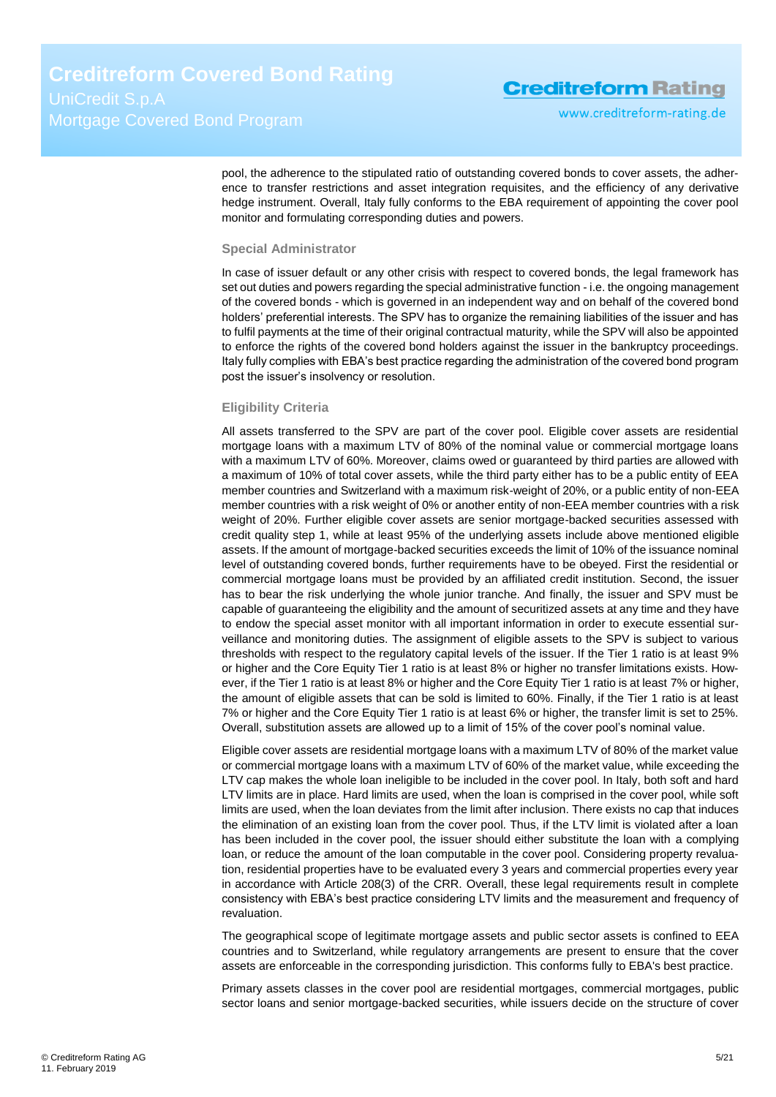www.creditreform-rating.de

pool, the adherence to the stipulated ratio of outstanding covered bonds to cover assets, the adherence to transfer restrictions and asset integration requisites, and the efficiency of any derivative hedge instrument. Overall, Italy fully conforms to the EBA requirement of appointing the cover pool monitor and formulating corresponding duties and powers.

#### **Special Administrator**

In case of issuer default or any other crisis with respect to covered bonds, the legal framework has set out duties and powers regarding the special administrative function - i.e. the ongoing management of the covered bonds - which is governed in an independent way and on behalf of the covered bond holders' preferential interests. The SPV has to organize the remaining liabilities of the issuer and has to fulfil payments at the time of their original contractual maturity, while the SPV will also be appointed to enforce the rights of the covered bond holders against the issuer in the bankruptcy proceedings. Italy fully complies with EBA's best practice regarding the administration of the covered bond program post the issuer's insolvency or resolution.

#### **Eligibility Criteria**

All assets transferred to the SPV are part of the cover pool. Eligible cover assets are residential mortgage loans with a maximum LTV of 80% of the nominal value or commercial mortgage loans with a maximum LTV of 60%. Moreover, claims owed or guaranteed by third parties are allowed with a maximum of 10% of total cover assets, while the third party either has to be a public entity of EEA member countries and Switzerland with a maximum risk-weight of 20%, or a public entity of non-EEA member countries with a risk weight of 0% or another entity of non-EEA member countries with a risk weight of 20%. Further eligible cover assets are senior mortgage-backed securities assessed with credit quality step 1, while at least 95% of the underlying assets include above mentioned eligible assets. If the amount of mortgage-backed securities exceeds the limit of 10% of the issuance nominal level of outstanding covered bonds, further requirements have to be obeyed. First the residential or commercial mortgage loans must be provided by an affiliated credit institution. Second, the issuer has to bear the risk underlying the whole junior tranche. And finally, the issuer and SPV must be capable of guaranteeing the eligibility and the amount of securitized assets at any time and they have to endow the special asset monitor with all important information in order to execute essential surveillance and monitoring duties. The assignment of eligible assets to the SPV is subject to various thresholds with respect to the regulatory capital levels of the issuer. If the Tier 1 ratio is at least 9% or higher and the Core Equity Tier 1 ratio is at least 8% or higher no transfer limitations exists. However, if the Tier 1 ratio is at least 8% or higher and the Core Equity Tier 1 ratio is at least 7% or higher, the amount of eligible assets that can be sold is limited to 60%. Finally, if the Tier 1 ratio is at least 7% or higher and the Core Equity Tier 1 ratio is at least 6% or higher, the transfer limit is set to 25%. Overall, substitution assets are allowed up to a limit of 15% of the cover pool's nominal value.

Eligible cover assets are residential mortgage loans with a maximum LTV of 80% of the market value or commercial mortgage loans with a maximum LTV of 60% of the market value, while exceeding the LTV cap makes the whole loan ineligible to be included in the cover pool. In Italy, both soft and hard LTV limits are in place. Hard limits are used, when the loan is comprised in the cover pool, while soft limits are used, when the loan deviates from the limit after inclusion. There exists no cap that induces the elimination of an existing loan from the cover pool. Thus, if the LTV limit is violated after a loan has been included in the cover pool, the issuer should either substitute the loan with a complying loan, or reduce the amount of the loan computable in the cover pool. Considering property revaluation, residential properties have to be evaluated every 3 years and commercial properties every year in accordance with Article 208(3) of the CRR. Overall, these legal requirements result in complete consistency with EBA's best practice considering LTV limits and the measurement and frequency of revaluation.

The geographical scope of legitimate mortgage assets and public sector assets is confined to EEA countries and to Switzerland, while regulatory arrangements are present to ensure that the cover assets are enforceable in the corresponding jurisdiction. This conforms fully to EBA's best practice.

Primary assets classes in the cover pool are residential mortgages, commercial mortgages, public sector loans and senior mortgage-backed securities, while issuers decide on the structure of cover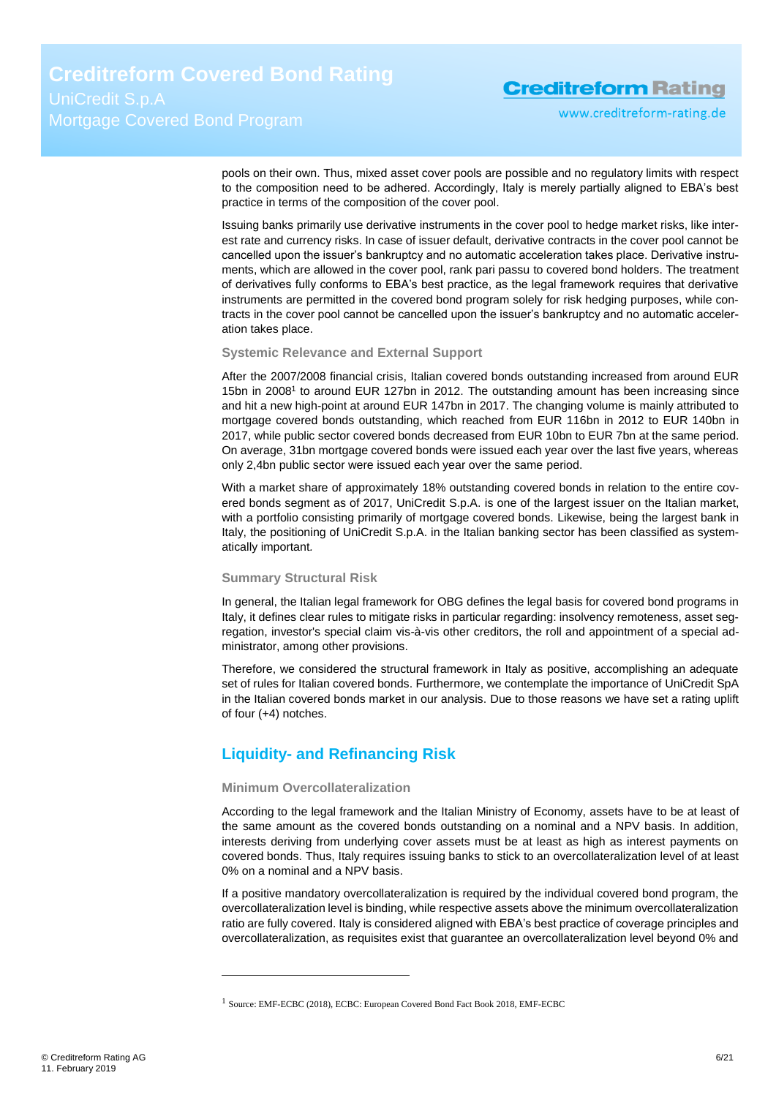www.creditreform-rating.de

pools on their own. Thus, mixed asset cover pools are possible and no regulatory limits with respect to the composition need to be adhered. Accordingly, Italy is merely partially aligned to EBA's best practice in terms of the composition of the cover pool.

Issuing banks primarily use derivative instruments in the cover pool to hedge market risks, like interest rate and currency risks. In case of issuer default, derivative contracts in the cover pool cannot be cancelled upon the issuer's bankruptcy and no automatic acceleration takes place. Derivative instruments, which are allowed in the cover pool, rank pari passu to covered bond holders. The treatment of derivatives fully conforms to EBA's best practice, as the legal framework requires that derivative instruments are permitted in the covered bond program solely for risk hedging purposes, while contracts in the cover pool cannot be cancelled upon the issuer's bankruptcy and no automatic acceleration takes place.

#### **Systemic Relevance and External Support**

After the 2007/2008 financial crisis, Italian covered bonds outstanding increased from around EUR 15bn in 2008<sup>1</sup> to around EUR 127bn in 2012. The outstanding amount has been increasing since and hit a new high-point at around EUR 147bn in 2017. The changing volume is mainly attributed to mortgage covered bonds outstanding, which reached from EUR 116bn in 2012 to EUR 140bn in 2017, while public sector covered bonds decreased from EUR 10bn to EUR 7bn at the same period. On average, 31bn mortgage covered bonds were issued each year over the last five years, whereas only 2,4bn public sector were issued each year over the same period.

With a market share of approximately 18% outstanding covered bonds in relation to the entire covered bonds segment as of 2017, UniCredit S.p.A. is one of the largest issuer on the Italian market, with a portfolio consisting primarily of mortgage covered bonds. Likewise, being the largest bank in Italy, the positioning of UniCredit S.p.A. in the Italian banking sector has been classified as systematically important*.*

#### **Summary Structural Risk**

In general, the Italian legal framework for OBG defines the legal basis for covered bond programs in Italy, it defines clear rules to mitigate risks in particular regarding: insolvency remoteness, asset segregation, investor's special claim vis-à-vis other creditors, the roll and appointment of a special administrator, among other provisions.

Therefore, we considered the structural framework in Italy as positive, accomplishing an adequate set of rules for Italian covered bonds. Furthermore, we contemplate the importance of UniCredit SpA in the Italian covered bonds market in our analysis. Due to those reasons we have set a rating uplift of four (+4) notches.

### <span id="page-5-0"></span>**Liquidity- and Refinancing Risk**

#### **Minimum Overcollateralization**

 $\overline{a}$ 

According to the legal framework and the Italian Ministry of Economy, assets have to be at least of the same amount as the covered bonds outstanding on a nominal and a NPV basis. In addition, interests deriving from underlying cover assets must be at least as high as interest payments on covered bonds. Thus, Italy requires issuing banks to stick to an overcollateralization level of at least 0% on a nominal and a NPV basis.

If a positive mandatory overcollateralization is required by the individual covered bond program, the overcollateralization level is binding, while respective assets above the minimum overcollateralization ratio are fully covered. Italy is considered aligned with EBA's best practice of coverage principles and overcollateralization, as requisites exist that guarantee an overcollateralization level beyond 0% and

<sup>1</sup> Source: EMF-ECBC (2018), ECBC: European Covered Bond Fact Book 2018, EMF-ECBC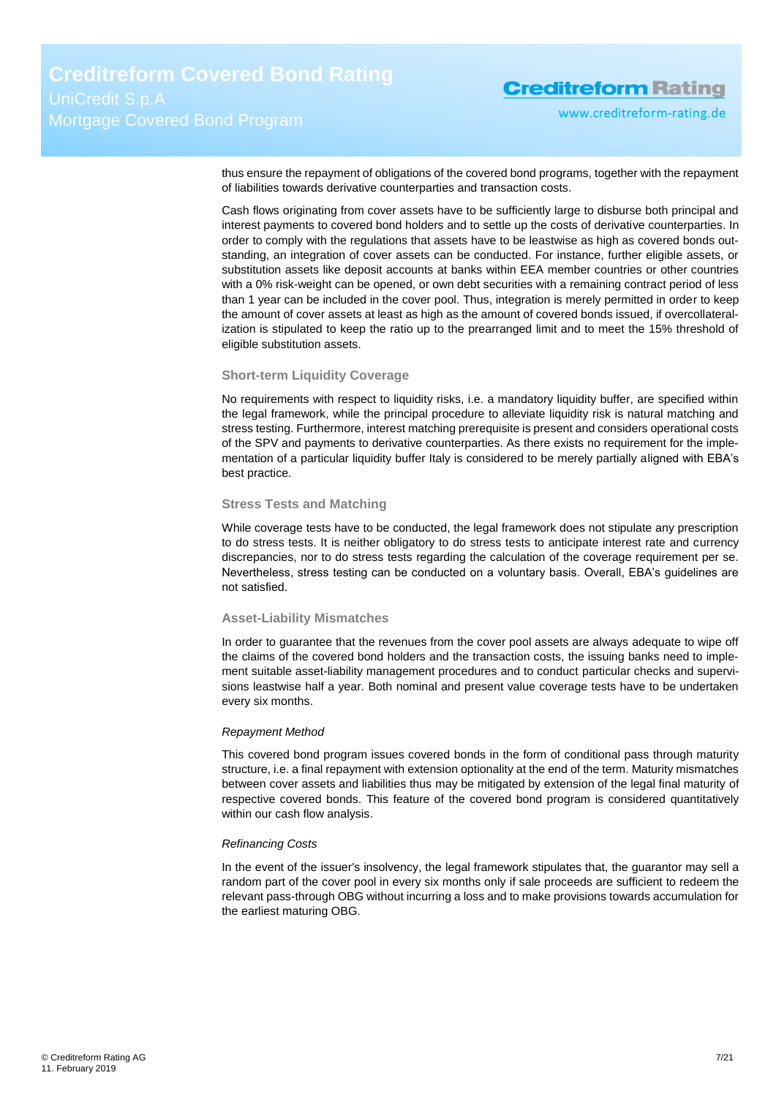www.creditreform-rating.de

thus ensure the repayment of obligations of the covered bond programs, together with the repayment of liabilities towards derivative counterparties and transaction costs.

Cash flows originating from cover assets have to be sufficiently large to disburse both principal and interest payments to covered bond holders and to settle up the costs of derivative counterparties. In order to comply with the regulations that assets have to be leastwise as high as covered bonds outstanding, an integration of cover assets can be conducted. For instance, further eligible assets, or substitution assets like deposit accounts at banks within EEA member countries or other countries with a 0% risk-weight can be opened, or own debt securities with a remaining contract period of less than 1 year can be included in the cover pool. Thus, integration is merely permitted in order to keep the amount of cover assets at least as high as the amount of covered bonds issued, if overcollateralization is stipulated to keep the ratio up to the prearranged limit and to meet the 15% threshold of eligible substitution assets.

#### **Short-term Liquidity Coverage**

No requirements with respect to liquidity risks, i.e. a mandatory liquidity buffer, are specified within the legal framework, while the principal procedure to alleviate liquidity risk is natural matching and stress testing. Furthermore, interest matching prerequisite is present and considers operational costs of the SPV and payments to derivative counterparties. As there exists no requirement for the implementation of a particular liquidity buffer Italy is considered to be merely partially aligned with EBA's best practice.

#### **Stress Tests and Matching**

While coverage tests have to be conducted, the legal framework does not stipulate any prescription to do stress tests. It is neither obligatory to do stress tests to anticipate interest rate and currency discrepancies, nor to do stress tests regarding the calculation of the coverage requirement per se. Nevertheless, stress testing can be conducted on a voluntary basis. Overall, EBA's guidelines are not satisfied.

#### **Asset-Liability Mismatches**

In order to guarantee that the revenues from the cover pool assets are always adequate to wipe off the claims of the covered bond holders and the transaction costs, the issuing banks need to implement suitable asset-liability management procedures and to conduct particular checks and supervisions leastwise half a year. Both nominal and present value coverage tests have to be undertaken every six months.

#### *Repayment Method*

This covered bond program issues covered bonds in the form of conditional pass through maturity structure, i.e. a final repayment with extension optionality at the end of the term. Maturity mismatches between cover assets and liabilities thus may be mitigated by extension of the legal final maturity of respective covered bonds. This feature of the covered bond program is considered quantitatively within our cash flow analysis.

#### *Refinancing Costs*

In the event of the issuer's insolvency, the legal framework stipulates that, the guarantor may sell a random part of the cover pool in every six months only if sale proceeds are sufficient to redeem the relevant pass-through OBG without incurring a loss and to make provisions towards accumulation for the earliest maturing OBG.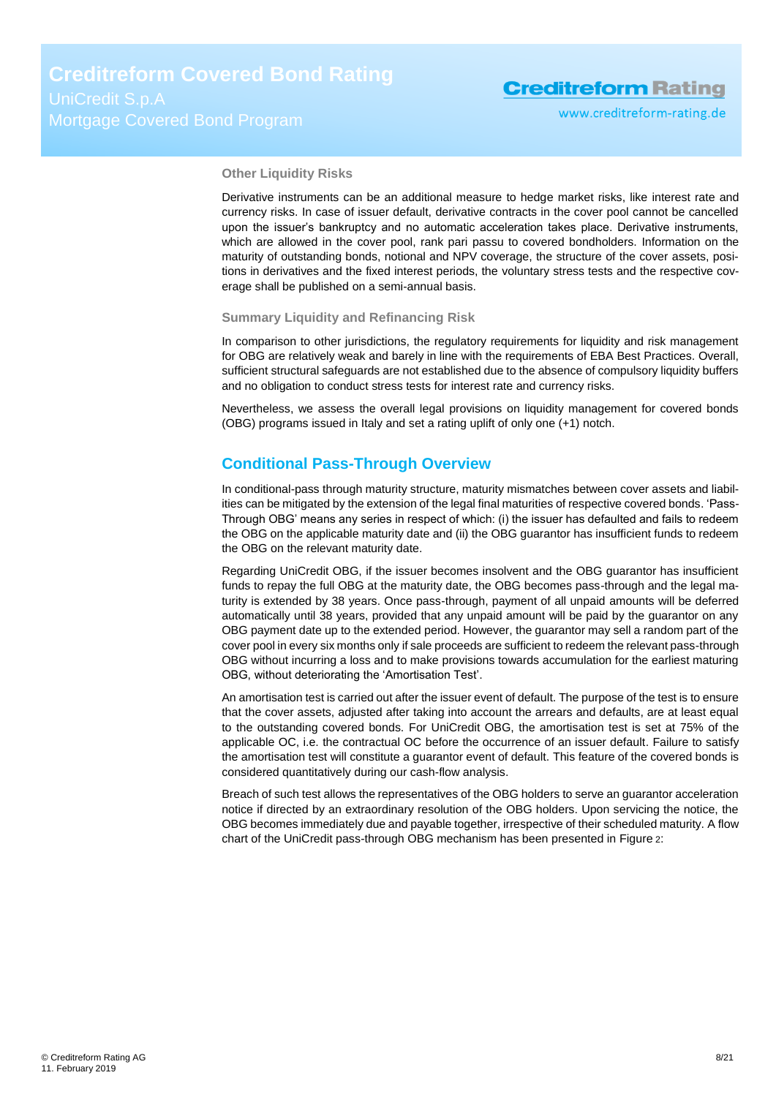#### **Other Liquidity Risks**

Derivative instruments can be an additional measure to hedge market risks, like interest rate and currency risks. In case of issuer default, derivative contracts in the cover pool cannot be cancelled upon the issuer's bankruptcy and no automatic acceleration takes place. Derivative instruments, which are allowed in the cover pool, rank pari passu to covered bondholders. Information on the maturity of outstanding bonds, notional and NPV coverage, the structure of the cover assets, positions in derivatives and the fixed interest periods, the voluntary stress tests and the respective coverage shall be published on a semi-annual basis.

#### **Summary Liquidity and Refinancing Risk**

In comparison to other jurisdictions, the regulatory requirements for liquidity and risk management for OBG are relatively weak and barely in line with the requirements of EBA Best Practices. Overall, sufficient structural safeguards are not established due to the absence of compulsory liquidity buffers and no obligation to conduct stress tests for interest rate and currency risks.

Nevertheless, we assess the overall legal provisions on liquidity management for covered bonds (OBG) programs issued in Italy and set a rating uplift of only one (+1) notch.

#### <span id="page-7-0"></span>**Conditional Pass-Through Overview**

In conditional-pass through maturity structure, maturity mismatches between cover assets and liabilities can be mitigated by the extension of the legal final maturities of respective covered bonds. 'Pass-Through OBG' means any series in respect of which: (i) the issuer has defaulted and fails to redeem the OBG on the applicable maturity date and (ii) the OBG guarantor has insufficient funds to redeem the OBG on the relevant maturity date.

Regarding UniCredit OBG, if the issuer becomes insolvent and the OBG guarantor has insufficient funds to repay the full OBG at the maturity date, the OBG becomes pass-through and the legal maturity is extended by 38 years. Once pass-through, payment of all unpaid amounts will be deferred automatically until 38 years, provided that any unpaid amount will be paid by the guarantor on any OBG payment date up to the extended period. However, the guarantor may sell a random part of the cover pool in every six months only if sale proceeds are sufficient to redeem the relevant pass-through OBG without incurring a loss and to make provisions towards accumulation for the earliest maturing OBG, without deteriorating the 'Amortisation Test'.

An amortisation test is carried out after the issuer event of default. The purpose of the test is to ensure that the cover assets, adjusted after taking into account the arrears and defaults, are at least equal to the outstanding covered bonds. For UniCredit OBG, the amortisation test is set at 75% of the applicable OC, i.e. the contractual OC before the occurrence of an issuer default. Failure to satisfy the amortisation test will constitute a guarantor event of default. This feature of the covered bonds is considered quantitatively during our cash-flow analysis.

Breach of such test allows the representatives of the OBG holders to serve an guarantor acceleration notice if directed by an extraordinary resolution of the OBG holders. Upon servicing the notice, the OBG becomes immediately due and payable together, irrespective of their scheduled maturity. A flow chart of the UniCredit pass-through OBG mechanism has been presented in [Figure](#page-8-1) 2: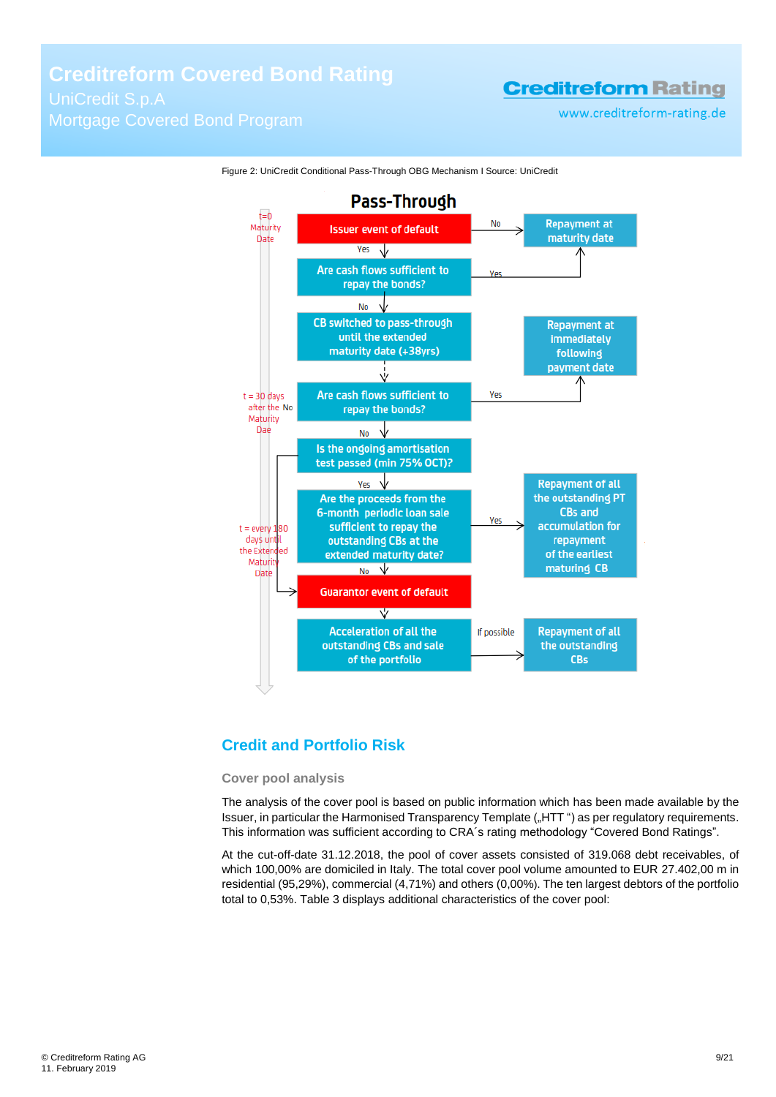www.creditreform-rating.de



<span id="page-8-1"></span>Figure 2: UniCredit Conditional Pass-Through OBG Mechanism I Source: UniCredit

## <span id="page-8-0"></span>**Credit and Portfolio Risk**

#### **Cover pool analysis**

The analysis of the cover pool is based on public information which has been made available by the Issuer, in particular the Harmonised Transparency Template ("HTT") as per regulatory requirements. This information was sufficient according to CRA´s rating methodology "Covered Bond Ratings".

At the cut-off-date 31.12.2018, the pool of cover assets consisted of 319.068 debt receivables, of which 100,00% are domiciled in Italy. The total cover pool volume amounted to EUR 27.402,00 m in residential (95,29%), commercial (4,71%) and others (0,00%). The ten largest debtors of the portfolio total to 0,53%. [Table 3](#page-9-0) displays additional characteristics of the cover pool: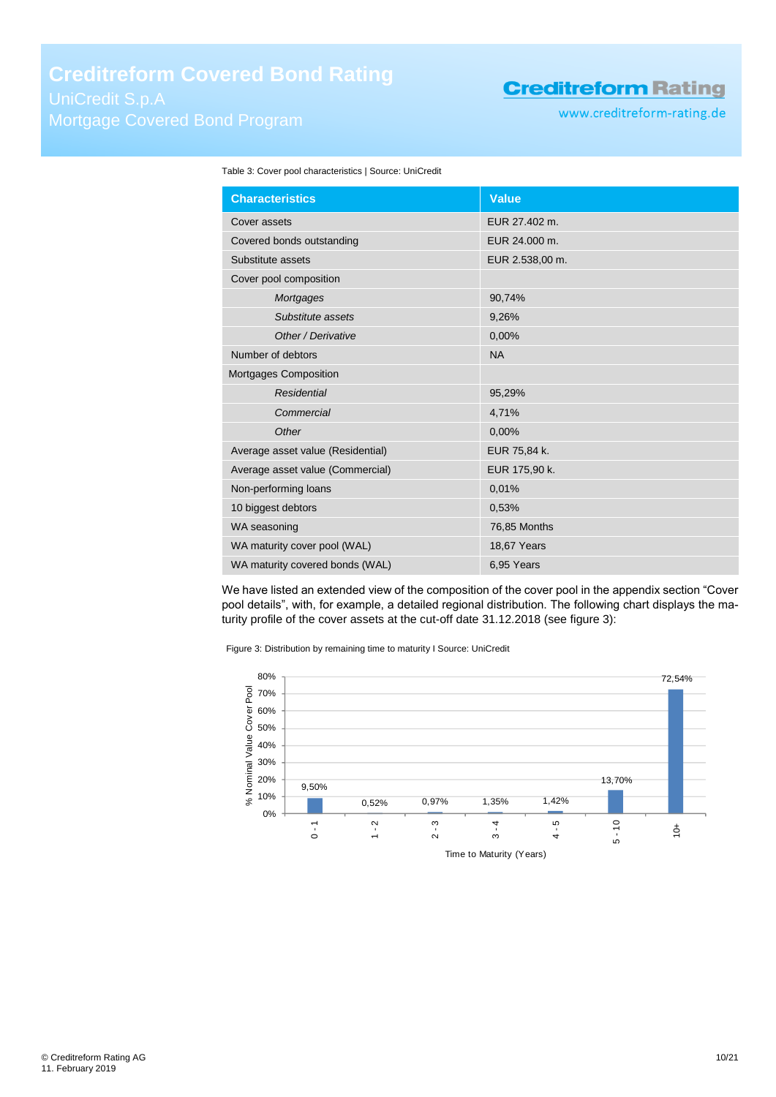www.creditreform-rating.de

<span id="page-9-0"></span>

| Table 3: Cover pool characteristics   Source: UniCredit |  |  |  |
|---------------------------------------------------------|--|--|--|
|---------------------------------------------------------|--|--|--|

| <b>Characteristics</b>            | <b>Value</b>    |
|-----------------------------------|-----------------|
| Cover assets                      | EUR 27.402 m.   |
| Covered bonds outstanding         | EUR 24,000 m.   |
| Substitute assets                 | EUR 2.538,00 m. |
| Cover pool composition            |                 |
| Mortgages                         | 90,74%          |
| Substitute assets                 | 9,26%           |
| Other / Derivative                | 0,00%           |
| Number of debtors                 | <b>NA</b>       |
| Mortgages Composition             |                 |
| <b>Residential</b>                | 95,29%          |
| Commercial                        | 4,71%           |
| Other                             | 0,00%           |
| Average asset value (Residential) | EUR 75,84 k.    |
| Average asset value (Commercial)  | EUR 175,90 k.   |
| Non-performing loans              | 0,01%           |
| 10 biggest debtors                | 0,53%           |
| WA seasoning                      | 76,85 Months    |
| WA maturity cover pool (WAL)      | 18,67 Years     |
| WA maturity covered bonds (WAL)   | 6.95 Years      |

We have listed an extended view of the composition of the cover pool in the appendix section "Cover pool details", with, for example, a detailed regional distribution. The following chart displays the maturity profile of the cover assets at the cut-off date 31.12.2018 (see [figure 3\)](#page-9-1):

<span id="page-9-1"></span>Figure 3: Distribution by remaining time to maturity I Source: UniCredit

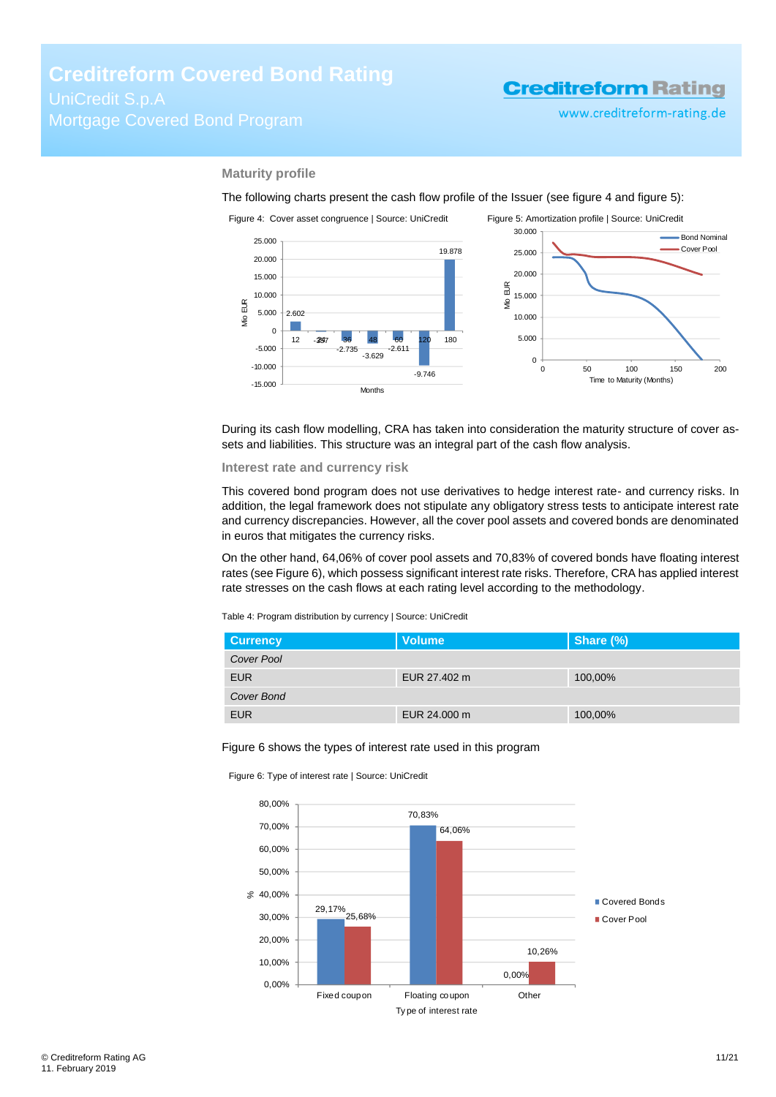<span id="page-10-1"></span>www.creditreform-rating.de

#### **Maturity profile**

The following charts present the cash flow profile of the Issuer (see [figure 4](#page-10-0) an[d figure 5\)](#page-10-1):

<span id="page-10-0"></span>

During its cash flow modelling, CRA has taken into consideration the maturity structure of cover assets and liabilities. This structure was an integral part of the cash flow analysis.

#### **Interest rate and currency risk**

This covered bond program does not use derivatives to hedge interest rate- and currency risks. In addition, the legal framework does not stipulate any obligatory stress tests to anticipate interest rate and currency discrepancies. However, all the cover pool assets and covered bonds are denominated in euros that mitigates the currency risks.

On the other hand, 64,06% of cover pool assets and 70,83% of covered bonds have floating interest rates (see Figure 6), which possess significant interest rate risks. Therefore, CRA has applied interest rate stresses on the cash flows at each rating level according to the methodology.

Table 4: Program distribution by currency | Source: UniCredit

| <b>Currency</b> | <b>Volume</b> | Share (%) |
|-----------------|---------------|-----------|
| Cover Pool      |               |           |
| <b>EUR</b>      | EUR 27,402 m  | 100,00%   |
| Cover Bond      |               |           |
| <b>EUR</b>      | EUR 24,000 m  | 100,00%   |

#### Figure 6 shows the types of interest rate used in this program



Figure 6: Type of interest rate | Source: UniCredit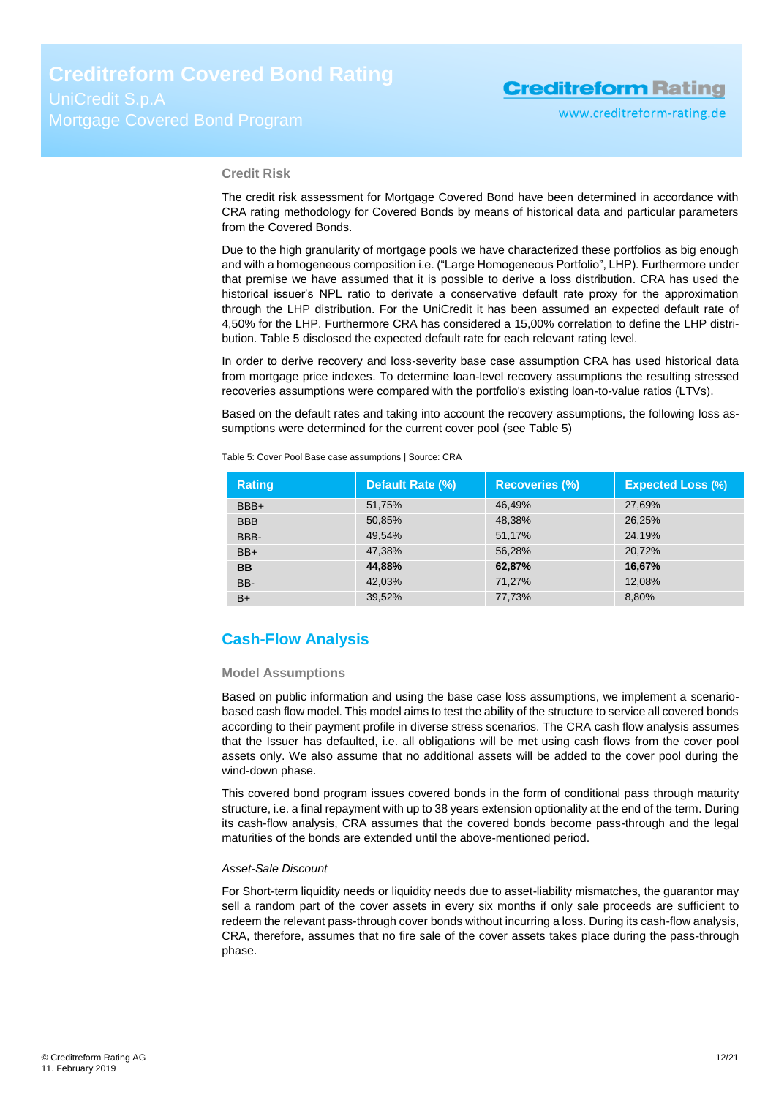#### **Credit Risk**

The credit risk assessment for Mortgage Covered Bond have been determined in accordance with CRA rating methodology for Covered Bonds by means of historical data and particular parameters from the Covered Bonds.

Due to the high granularity of mortgage pools we have characterized these portfolios as big enough and with a homogeneous composition i.e. ("Large Homogeneous Portfolio", LHP). Furthermore under that premise we have assumed that it is possible to derive a loss distribution. CRA has used the historical issuer's NPL ratio to derivate a conservative default rate proxy for the approximation through the LHP distribution. For the UniCredit it has been assumed an expected default rate of 4,50% for the LHP. Furthermore CRA has considered a 15,00% correlation to define the LHP distribution[. Table 5](#page-11-1) disclosed the expected default rate for each relevant rating level.

In order to derive recovery and loss-severity base case assumption CRA has used historical data from mortgage price indexes. To determine loan-level recovery assumptions the resulting stressed recoveries assumptions were compared with the portfolio's existing loan-to-value ratios (LTVs).

Based on the default rates and taking into account the recovery assumptions, the following loss assumptions were determined for the current cover pool (se[e Table 5\)](#page-11-1)

<span id="page-11-1"></span>

| Table 5: Cover Pool Base case assumptions   Source: CRA |  |
|---------------------------------------------------------|--|
|                                                         |  |

| <b>Rating</b> | Default Rate (%) | <b>Recoveries (%)</b> | <b>Expected Loss (%)</b> |
|---------------|------------------|-----------------------|--------------------------|
| BBB+          | 51,75%           | 46.49%                | 27,69%                   |
| <b>BBB</b>    | 50.85%           | 48.38%                | 26.25%                   |
| BBB-          | 49.54%           | 51,17%                | 24.19%                   |
| $BB+$         | 47.38%           | 56.28%                | 20,72%                   |
| <b>BB</b>     | 44,88%           | 62,87%                | 16,67%                   |
| BB-           | 42.03%           | 71.27%                | 12.08%                   |
| $B+$          | 39,52%           | 77,73%                | 8,80%                    |

### <span id="page-11-0"></span>**Cash-Flow Analysis**

#### **Model Assumptions**

Based on public information and using the base case loss assumptions, we implement a scenariobased cash flow model. This model aims to test the ability of the structure to service all covered bonds according to their payment profile in diverse stress scenarios. The CRA cash flow analysis assumes that the Issuer has defaulted, i.e. all obligations will be met using cash flows from the cover pool assets only. We also assume that no additional assets will be added to the cover pool during the wind-down phase.

This covered bond program issues covered bonds in the form of conditional pass through maturity structure, i.e. a final repayment with up to 38 years extension optionality at the end of the term. During its cash-flow analysis, CRA assumes that the covered bonds become pass-through and the legal maturities of the bonds are extended until the above-mentioned period.

#### *Asset-Sale Discount*

For Short-term liquidity needs or liquidity needs due to asset-liability mismatches, the guarantor may sell a random part of the cover assets in every six months if only sale proceeds are sufficient to redeem the relevant pass-through cover bonds without incurring a loss. During its cash-flow analysis, CRA, therefore, assumes that no fire sale of the cover assets takes place during the pass-through phase.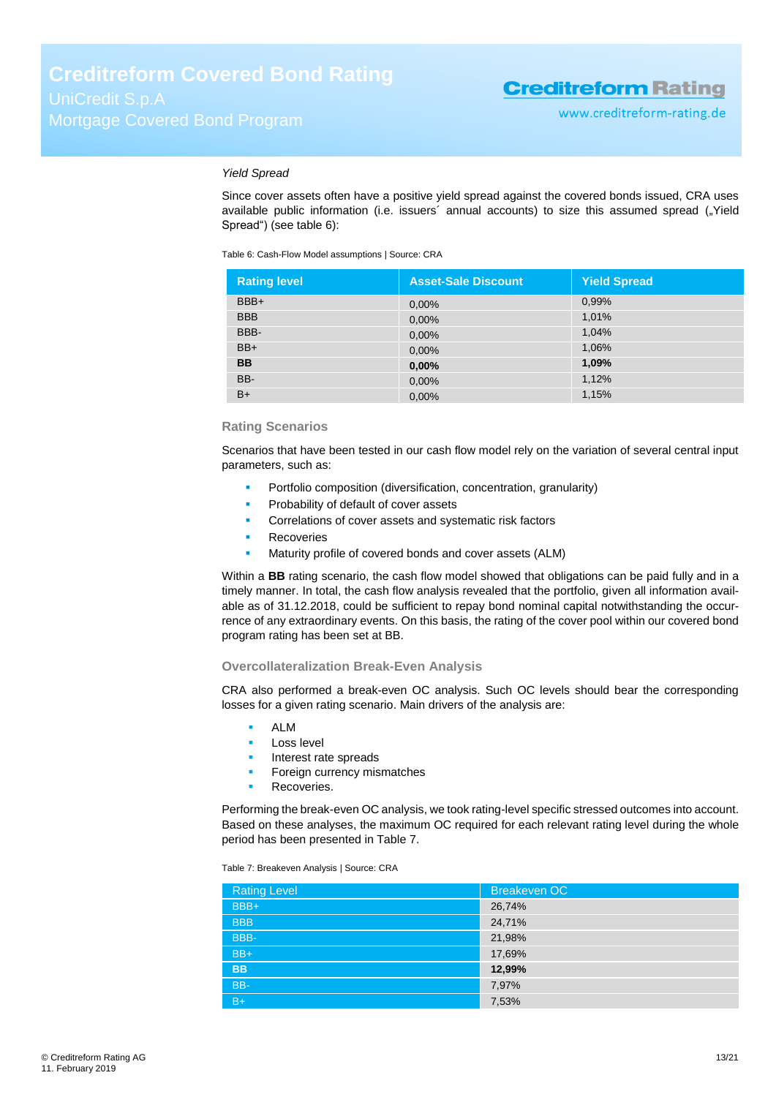#### *Yield Spread*

Since cover assets often have a positive yield spread against the covered bonds issued, CRA uses available public information (i.e. issuers' annual accounts) to size this assumed spread ("Yield Spread") (see [table 6\)](#page-12-0):

<span id="page-12-0"></span>Table 6: Cash-Flow Model assumptions | Source: CRA

| <b>Rating level</b> | <b>Asset-Sale Discount</b> | <b>Yield Spread</b> |
|---------------------|----------------------------|---------------------|
| BBB+                | 0,00%                      | 0,99%               |
| <b>BBB</b>          | 0,00%                      | 1,01%               |
| BBB-                | 0,00%                      | 1,04%               |
| $BB+$               | 0,00%                      | 1,06%               |
| <b>BB</b>           | 0,00%                      | 1,09%               |
| BB-                 | 0,00%                      | 1,12%               |
| $B+$                | 0,00%                      | 1,15%               |

#### **Rating Scenarios**

Scenarios that have been tested in our cash flow model rely on the variation of several central input parameters, such as:

- Portfolio composition (diversification, concentration, granularity)
- Probability of default of cover assets
- Correlations of cover assets and systematic risk factors
- Recoveries
- Maturity profile of covered bonds and cover assets (ALM)

Within a **BB** rating scenario, the cash flow model showed that obligations can be paid fully and in a timely manner. In total, the cash flow analysis revealed that the portfolio, given all information available as of 31.12.2018, could be sufficient to repay bond nominal capital notwithstanding the occurrence of any extraordinary events. On this basis, the rating of the cover pool within our covered bond program rating has been set at BB.

#### **Overcollateralization Break-Even Analysis**

CRA also performed a break-even OC analysis. Such OC levels should bear the corresponding losses for a given rating scenario. Main drivers of the analysis are:

- ALM
- Loss level
- Interest rate spreads
- Foreign currency mismatches
- Recoveries.

Performing the break-even OC analysis, we took rating-level specific stressed outcomes into account. Based on these analyses, the maximum OC required for each relevant rating level during the whole period has been presented in [Table 7.](#page-12-1)

<span id="page-12-1"></span>Table 7: Breakeven Analysis | Source: CRA

| <b>Rating Level</b> | <b>Breakeven OC</b> |
|---------------------|---------------------|
| BBB+                | 26,74%              |
| <b>BBB</b>          | 24,71%              |
| BBB-                | 21,98%              |
| $BB+$               | 17,69%              |
| <b>BB</b>           | 12,99%              |
| BB-                 | 7,97%               |
| $B+$                | 7,53%               |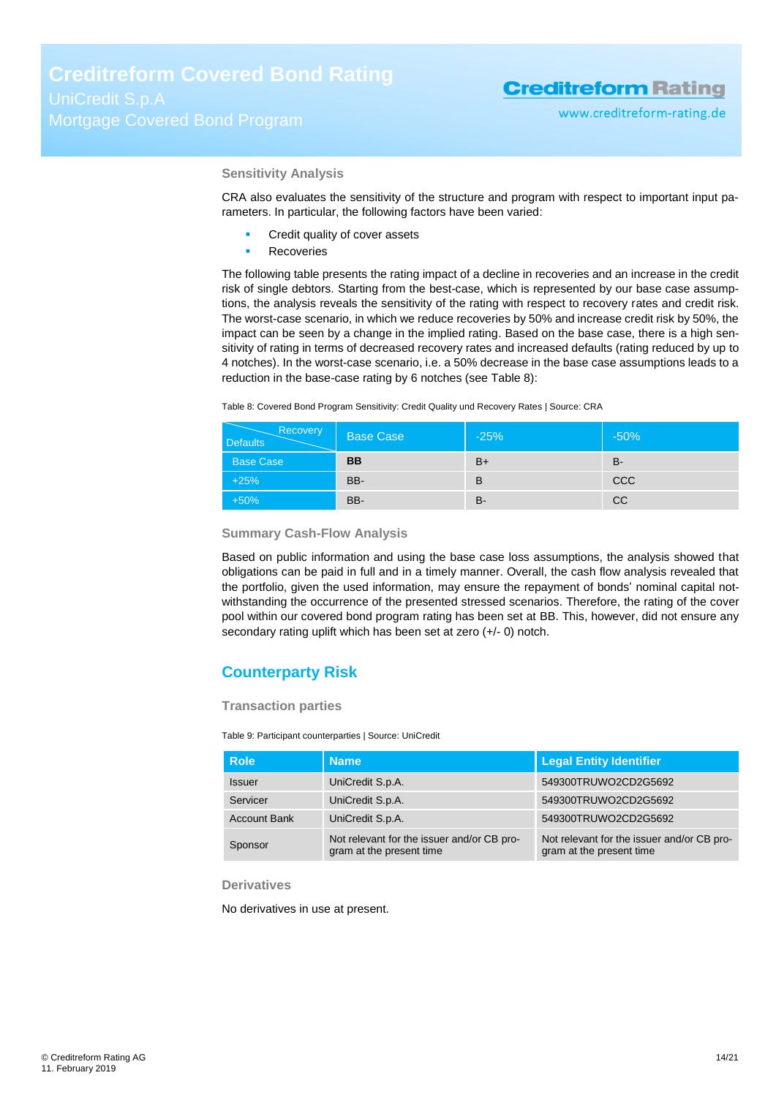#### **Sensitivity Analysis**

CRA also evaluates the sensitivity of the structure and program with respect to important input parameters. In particular, the following factors have been varied:

- Credit quality of cover assets
- Recoveries

The following table presents the rating impact of a decline in recoveries and an increase in the credit risk of single debtors. Starting from the best-case, which is represented by our base case assumptions, the analysis reveals the sensitivity of the rating with respect to recovery rates and credit risk. The worst-case scenario, in which we reduce recoveries by 50% and increase credit risk by 50%, the impact can be seen by a change in the implied rating. Based on the base case, there is a high sensitivity of rating in terms of decreased recovery rates and increased defaults (rating reduced by up to 4 notches). In the worst-case scenario, i.e. a 50% decrease in the base case assumptions leads to a reduction in the base-case rating by 6 notches (see [Table 8\)](#page-13-0):

<span id="page-13-0"></span>

| Table 8: Covered Bond Program Sensitivity: Credit Quality und Recovery Rates   Source: CRA |  |  |
|--------------------------------------------------------------------------------------------|--|--|
|--------------------------------------------------------------------------------------------|--|--|

| Recovery<br><b>Defaults</b> | Base Case | $-25%$ | $-50%$     |
|-----------------------------|-----------|--------|------------|
| <b>Base Case</b>            | <b>BB</b> | $B+$   | B-         |
| $+25%$                      | BB-       | в      | <b>CCC</b> |
| $+50%$                      | BB-       | B-     | <b>CC</b>  |

#### **Summary Cash-Flow Analysis**

Based on public information and using the base case loss assumptions, the analysis showed that obligations can be paid in full and in a timely manner. Overall, the cash flow analysis revealed that the portfolio, given the used information, may ensure the repayment of bonds' nominal capital notwithstanding the occurrence of the presented stressed scenarios. Therefore, the rating of the cover pool within our covered bond program rating has been set at BB. This, however, did not ensure any secondary rating uplift which has been set at zero (+/- 0) notch.

### **Counterparty Risk**

**Transaction parties**

Table 9: Participant counterparties | Source: UniCredit

| <b>Role</b>         | <b>Name</b>                                                            | <b>Legal Entity Identifier</b>                                         |
|---------------------|------------------------------------------------------------------------|------------------------------------------------------------------------|
| <b>Issuer</b>       | UniCredit S.p.A.                                                       | 549300TRUWO2CD2G5692                                                   |
| Servicer            | UniCredit S.p.A.                                                       | 549300TRUWO2CD2G5692                                                   |
| <b>Account Bank</b> | UniCredit S.p.A.                                                       | 549300TRUWO2CD2G5692                                                   |
| Sponsor             | Not relevant for the issuer and/or CB pro-<br>gram at the present time | Not relevant for the issuer and/or CB pro-<br>gram at the present time |

#### **Derivatives**

No derivatives in use at present.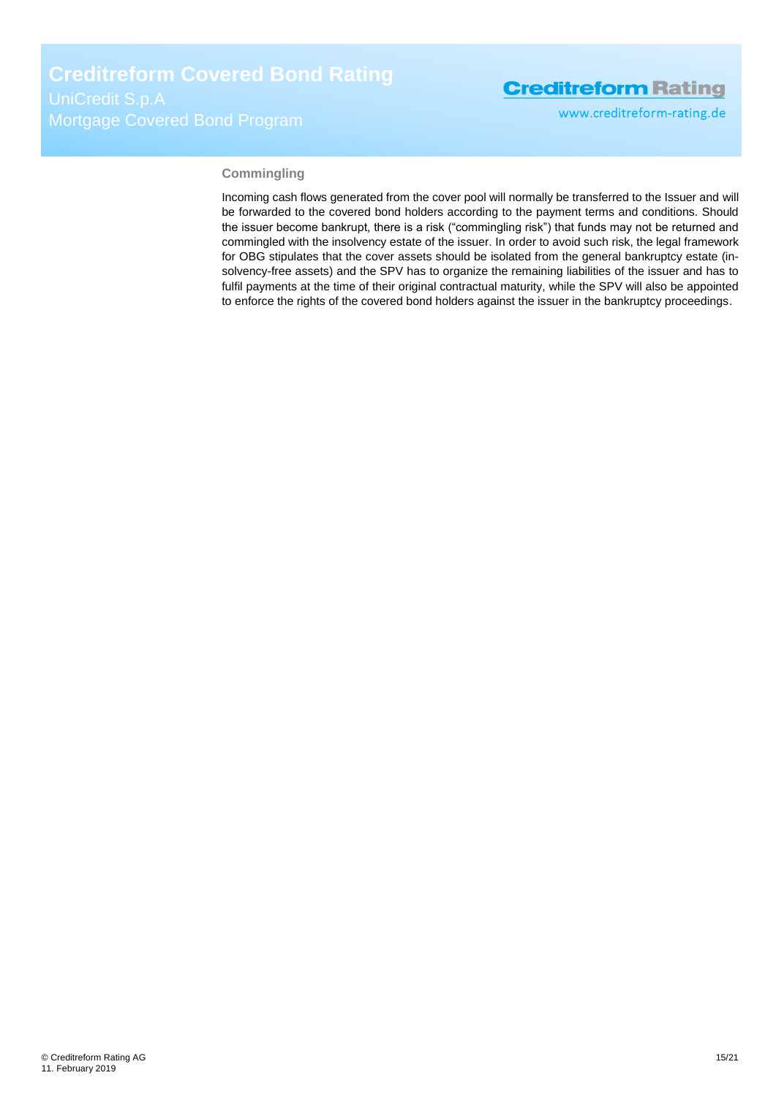www.creditreform-rating.de

#### **Commingling**

Incoming cash flows generated from the cover pool will normally be transferred to the Issuer and will be forwarded to the covered bond holders according to the payment terms and conditions. Should the issuer become bankrupt, there is a risk ("commingling risk") that funds may not be returned and commingled with the insolvency estate of the issuer. In order to avoid such risk, the legal framework for OBG stipulates that the cover assets should be isolated from the general bankruptcy estate (insolvency-free assets) and the SPV has to organize the remaining liabilities of the issuer and has to fulfil payments at the time of their original contractual maturity, while the SPV will also be appointed to enforce the rights of the covered bond holders against the issuer in the bankruptcy proceedings.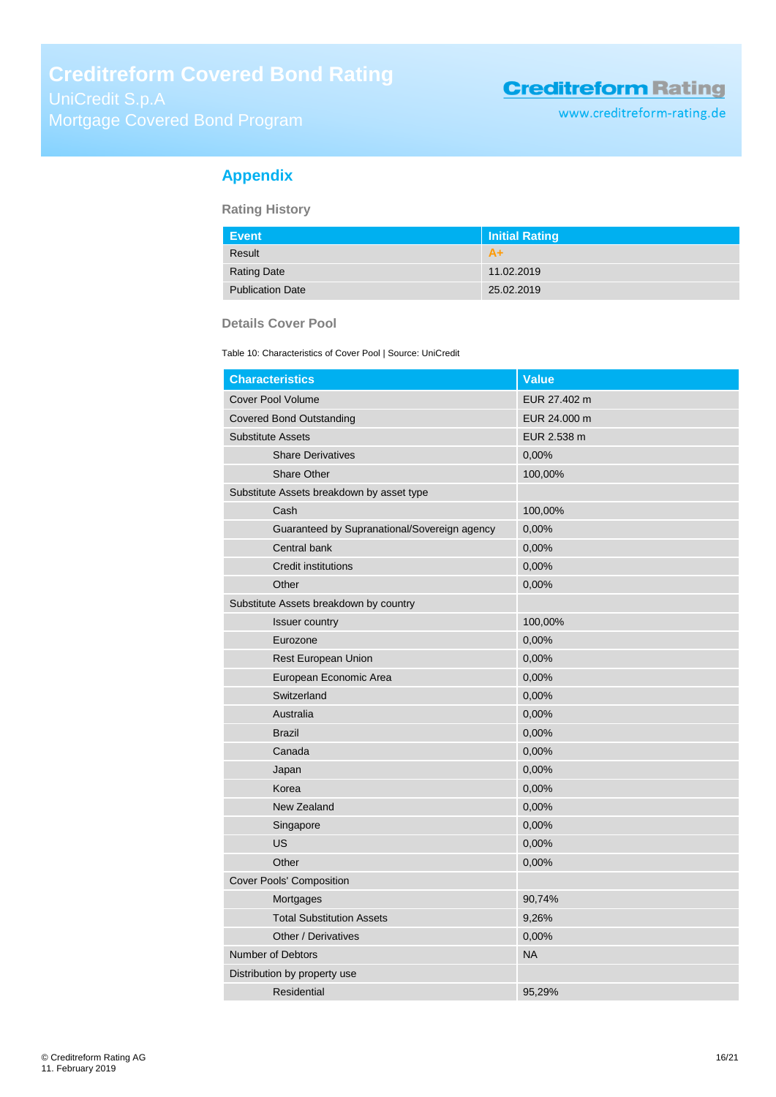# Mortgage Covered Bond Program

## **Creditreform Rating**

www.creditreform-rating.de

## <span id="page-15-0"></span>**Appendix**

**Rating History**

| Event                   | Initial Rating |  |
|-------------------------|----------------|--|
| Result                  | $A+$           |  |
| <b>Rating Date</b>      | 11.02.2019     |  |
| <b>Publication Date</b> | 25.02.2019     |  |

#### **Details Cover Pool**

Table 10: Characteristics of Cover Pool | Source: UniCredit

| <b>Characteristics</b>                       | <b>Value</b> |
|----------------------------------------------|--------------|
| <b>Cover Pool Volume</b>                     | EUR 27.402 m |
| <b>Covered Bond Outstanding</b>              | EUR 24.000 m |
| <b>Substitute Assets</b>                     | EUR 2.538 m  |
| <b>Share Derivatives</b>                     | 0,00%        |
| <b>Share Other</b>                           | 100,00%      |
| Substitute Assets breakdown by asset type    |              |
| Cash                                         | 100,00%      |
| Guaranteed by Supranational/Sovereign agency | 0,00%        |
| Central bank                                 | 0,00%        |
| <b>Credit institutions</b>                   | 0,00%        |
| Other                                        | 0,00%        |
| Substitute Assets breakdown by country       |              |
| Issuer country                               | 100,00%      |
| Eurozone                                     | 0,00%        |
| Rest European Union                          | 0,00%        |
| European Economic Area                       | 0,00%        |
| Switzerland                                  | 0,00%        |
| Australia                                    | 0,00%        |
| <b>Brazil</b>                                | 0,00%        |
| Canada                                       | 0,00%        |
| Japan                                        | 0,00%        |
| Korea                                        | 0,00%        |
| New Zealand                                  | 0,00%        |
| Singapore                                    | 0,00%        |
| US                                           | 0,00%        |
| Other                                        | 0,00%        |
| Cover Pools' Composition                     |              |
| Mortgages                                    | 90,74%       |
| <b>Total Substitution Assets</b>             | 9,26%        |
| Other / Derivatives                          | 0,00%        |
| <b>Number of Debtors</b>                     | <b>NA</b>    |
| Distribution by property use                 |              |
| Residential                                  | 95,29%       |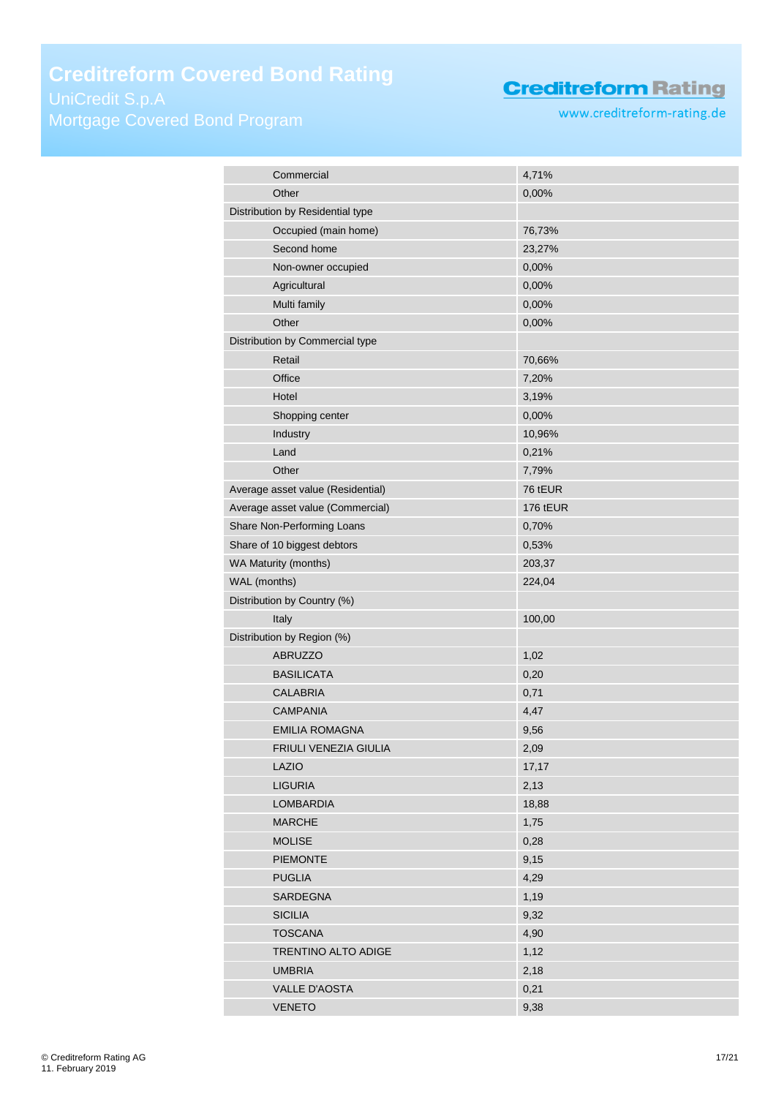## **Creditreform Covered Bond Rating**

Mortgage Covered Bond Program

## **Creditreform Rating**

www.creditreform-rating.de

| Commercial                        | 4,71%           |
|-----------------------------------|-----------------|
| Other                             | 0,00%           |
| Distribution by Residential type  |                 |
| Occupied (main home)              | 76,73%          |
| Second home                       | 23,27%          |
| Non-owner occupied                | 0,00%           |
| Agricultural                      | 0,00%           |
| Multi family                      | 0,00%           |
| Other                             | 0,00%           |
| Distribution by Commercial type   |                 |
| Retail                            | 70,66%          |
| Office                            | 7,20%           |
| Hotel                             |                 |
|                                   | 3,19%           |
| Shopping center                   | 0,00%           |
| Industry                          | 10,96%          |
| Land                              | 0,21%           |
| Other                             | 7,79%           |
| Average asset value (Residential) | 76 tEUR         |
| Average asset value (Commercial)  | <b>176 tEUR</b> |
| Share Non-Performing Loans        | 0,70%           |
| Share of 10 biggest debtors       | 0,53%           |
| WA Maturity (months)              | 203,37          |
| WAL (months)                      | 224,04          |
| Distribution by Country (%)       |                 |
| Italy                             | 100,00          |
| Distribution by Region (%)        |                 |
| <b>ABRUZZO</b>                    | 1,02            |
| <b>BASILICATA</b>                 | 0,20            |
| <b>CALABRIA</b>                   | 0,71            |
| <b>CAMPANIA</b>                   | 4,47            |
| <b>EMILIA ROMAGNA</b>             | 9,56            |
| FRIULI VENEZIA GIULIA             | 2,09            |
| LAZIO                             | 17,17           |
| <b>LIGURIA</b>                    | 2,13            |
| <b>LOMBARDIA</b>                  |                 |
|                                   | 18,88           |
| <b>MARCHE</b>                     | 1,75            |
| <b>MOLISE</b>                     | 0,28            |
| <b>PIEMONTE</b>                   | 9,15            |
| <b>PUGLIA</b>                     | 4,29            |
| SARDEGNA                          | 1,19            |
| <b>SICILIA</b>                    | 9,32            |
| <b>TOSCANA</b>                    | 4,90            |
| TRENTINO ALTO ADIGE               | 1,12            |
| <b>UMBRIA</b>                     | 2,18            |
| VALLE D'AOSTA                     | 0,21            |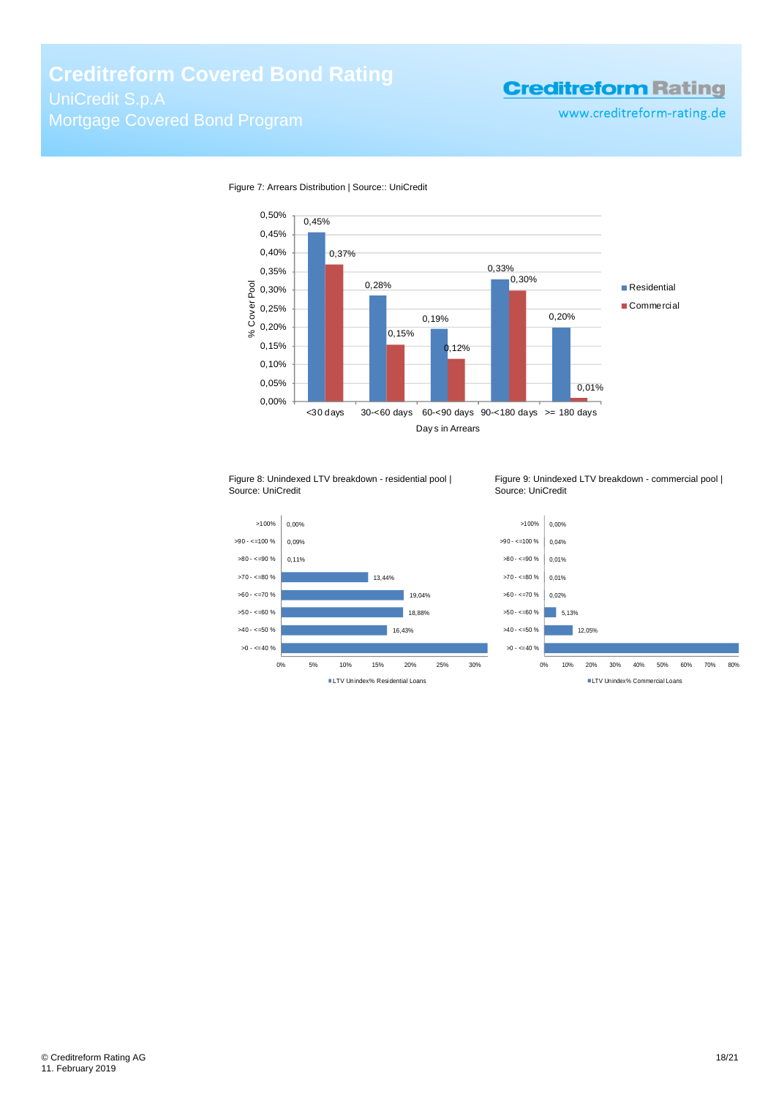## **Creditreform Covered Bond Rating**

# Mortgage Covered Bond Program

## **Creditreform Rating**

www.creditreform-rating.de



Figure 7: Arrears Distribution | Source:: UniCredit



Figure 9: Unindexed LTV breakdown - commercial pool | Source: UniCredit



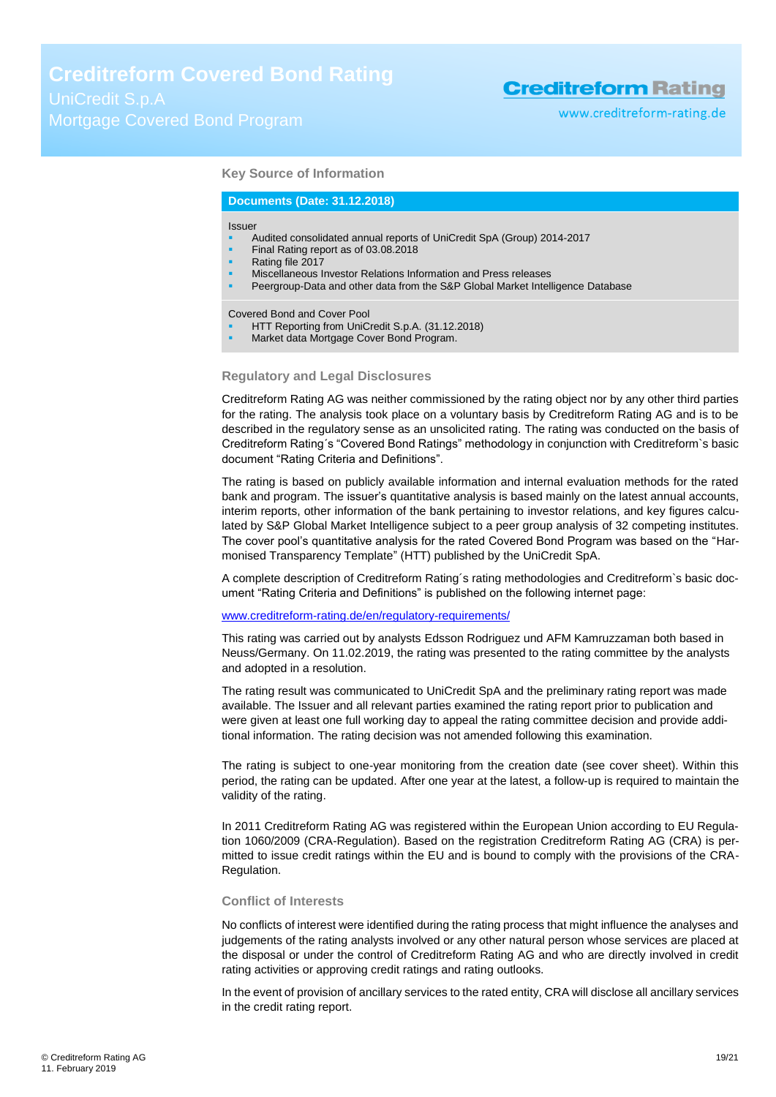www.creditreform-rating.de

#### **Key Source of Information**

#### **Documents (Date: 31.12.2018)**

#### Issuer

- Audited consolidated annual reports of UniCredit SpA (Group) 2014-2017
- Final Rating report as of 03.08.2018
- Rating file 2017
- Miscellaneous Investor Relations Information and Press releases
- Peergroup-Data and other data from the S&P Global Market Intelligence Database

Covered Bond and Cover Pool

- HTT Reporting from UniCredit S.p.A. (31.12.2018)
- Market data Mortgage Cover Bond Program.

#### **Regulatory and Legal Disclosures**

Creditreform Rating AG was neither commissioned by the rating object nor by any other third parties for the rating. The analysis took place on a voluntary basis by Creditreform Rating AG and is to be described in the regulatory sense as an unsolicited rating. The rating was conducted on the basis of Creditreform Rating´s "Covered Bond Ratings" methodology in conjunction with Creditreform`s basic document "Rating Criteria and Definitions".

The rating is based on publicly available information and internal evaluation methods for the rated bank and program. The issuer's quantitative analysis is based mainly on the latest annual accounts, interim reports, other information of the bank pertaining to investor relations, and key figures calculated by S&P Global Market Intelligence subject to a peer group analysis of 32 competing institutes. The cover pool's quantitative analysis for the rated Covered Bond Program was based on the "Harmonised Transparency Template" (HTT) published by the UniCredit SpA.

A complete description of Creditreform Rating´s rating methodologies and Creditreform`s basic document "Rating Criteria and Definitions" is published on the following internet page:

#### [www.creditreform-rating.de/](http://www.creditreform-rating.de/)en/regulatory-requirements/

This rating was carried out by analysts Edsson Rodriguez und AFM Kamruzzaman both based in Neuss/Germany. On 11.02.2019, the rating was presented to the rating committee by the analysts and adopted in a resolution.

The rating result was communicated to UniCredit SpA and the preliminary rating report was made available. The Issuer and all relevant parties examined the rating report prior to publication and were given at least one full working day to appeal the rating committee decision and provide additional information. The rating decision was not amended following this examination.

The rating is subject to one-year monitoring from the creation date (see cover sheet). Within this period, the rating can be updated. After one year at the latest, a follow-up is required to maintain the validity of the rating.

In 2011 Creditreform Rating AG was registered within the European Union according to EU Regulation 1060/2009 (CRA-Regulation). Based on the registration Creditreform Rating AG (CRA) is permitted to issue credit ratings within the EU and is bound to comply with the provisions of the CRA-Regulation.

#### **Conflict of Interests**

No conflicts of interest were identified during the rating process that might influence the analyses and judgements of the rating analysts involved or any other natural person whose services are placed at the disposal or under the control of Creditreform Rating AG and who are directly involved in credit rating activities or approving credit ratings and rating outlooks.

In the event of provision of ancillary services to the rated entity, CRA will disclose all ancillary services in the credit rating report.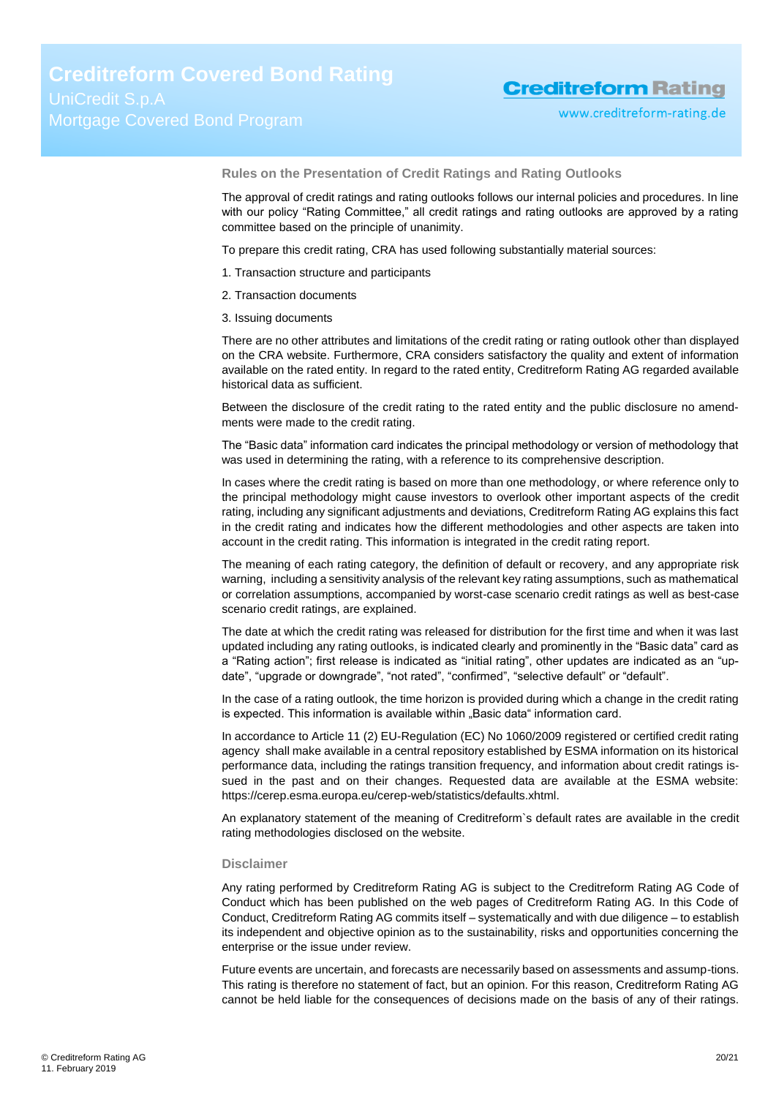**Rules on the Presentation of Credit Ratings and Rating Outlooks**

The approval of credit ratings and rating outlooks follows our internal policies and procedures. In line with our policy "Rating Committee," all credit ratings and rating outlooks are approved by a rating committee based on the principle of unanimity.

To prepare this credit rating, CRA has used following substantially material sources:

- 1. Transaction structure and participants
- 2. Transaction documents
- 3. Issuing documents

There are no other attributes and limitations of the credit rating or rating outlook other than displayed on the CRA website. Furthermore, CRA considers satisfactory the quality and extent of information available on the rated entity. In regard to the rated entity, Creditreform Rating AG regarded available historical data as sufficient.

Between the disclosure of the credit rating to the rated entity and the public disclosure no amendments were made to the credit rating.

The "Basic data" information card indicates the principal methodology or version of methodology that was used in determining the rating, with a reference to its comprehensive description.

In cases where the credit rating is based on more than one methodology, or where reference only to the principal methodology might cause investors to overlook other important aspects of the credit rating, including any significant adjustments and deviations, Creditreform Rating AG explains this fact in the credit rating and indicates how the different methodologies and other aspects are taken into account in the credit rating. This information is integrated in the credit rating report.

The meaning of each rating category, the definition of default or recovery, and any appropriate risk warning, including a sensitivity analysis of the relevant key rating assumptions, such as mathematical or correlation assumptions, accompanied by worst-case scenario credit ratings as well as best-case scenario credit ratings, are explained.

The date at which the credit rating was released for distribution for the first time and when it was last updated including any rating outlooks, is indicated clearly and prominently in the "Basic data" card as a "Rating action"; first release is indicated as "initial rating", other updates are indicated as an "update", "upgrade or downgrade", "not rated", "confirmed", "selective default" or "default".

In the case of a rating outlook, the time horizon is provided during which a change in the credit rating is expected. This information is available within "Basic data" information card.

In accordance to Article 11 (2) EU-Regulation (EC) No 1060/2009 registered or certified credit rating agency shall make available in a central repository established by ESMA information on its historical performance data, including the ratings transition frequency, and information about credit ratings issued in the past and on their changes. Requested data are available at the ESMA website: https://cerep.esma.europa.eu/cerep-web/statistics/defaults.xhtml.

An explanatory statement of the meaning of Creditreform`s default rates are available in the credit rating methodologies disclosed on the website.

#### **Disclaimer**

Any rating performed by Creditreform Rating AG is subject to the Creditreform Rating AG Code of Conduct which has been published on the web pages of Creditreform Rating AG. In this Code of Conduct, Creditreform Rating AG commits itself – systematically and with due diligence – to establish its independent and objective opinion as to the sustainability, risks and opportunities concerning the enterprise or the issue under review.

Future events are uncertain, and forecasts are necessarily based on assessments and assump-tions. This rating is therefore no statement of fact, but an opinion. For this reason, Creditreform Rating AG cannot be held liable for the consequences of decisions made on the basis of any of their ratings.